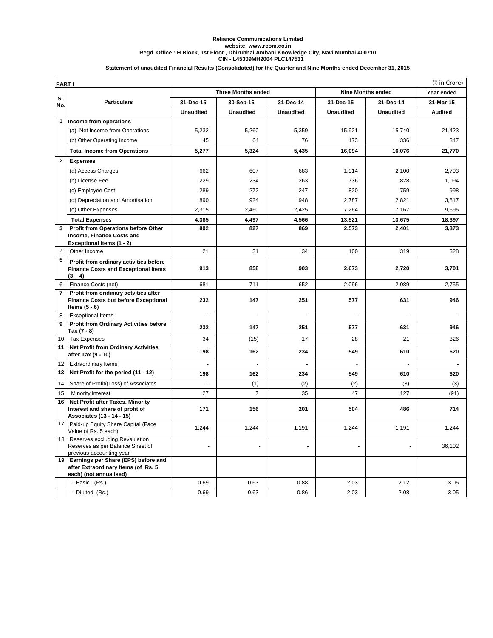## **CIN - L45309MH2004 PLC147531 Reliance Communications Limited website: www.rcom.co.in Regd. Office : H Block, 1st Floor , Dhirubhai Ambani Knowledge City, Navi Mumbai 400710**

## **Statement of unaudited Financial Results (Consolidated) for the Quarter and Nine Months ended December 31, 2015**

|                | (₹ in Crore)<br><b>PARTI</b>                                                                         |                           |                  |                  |                          |                  |                |  |  |
|----------------|------------------------------------------------------------------------------------------------------|---------------------------|------------------|------------------|--------------------------|------------------|----------------|--|--|
|                | <b>Particulars</b>                                                                                   | <b>Three Months ended</b> |                  |                  | <b>Nine Months ended</b> |                  | Year ended     |  |  |
| SI.<br>No.     |                                                                                                      | 31-Dec-15                 | 30-Sep-15        | 31-Dec-14        | 31-Dec-15                | 31-Dec-14        | 31-Mar-15      |  |  |
|                |                                                                                                      | <b>Unaudited</b>          | <b>Unaudited</b> | <b>Unaudited</b> | <b>Unaudited</b>         | <b>Unaudited</b> | <b>Audited</b> |  |  |
| $\mathbf{1}$   | Income from operations                                                                               |                           |                  |                  |                          |                  |                |  |  |
|                | (a) Net Income from Operations                                                                       | 5,232                     | 5,260            | 5,359            | 15,921                   | 15,740           | 21,423         |  |  |
|                | (b) Other Operating Income                                                                           | 45                        | 64               | 76               | 173                      | 336              | 347            |  |  |
|                | <b>Total Income from Operations</b>                                                                  | 5,277                     | 5,324            | 5,435            | 16,094                   | 16,076           | 21,770         |  |  |
| $\mathbf{2}$   | <b>Expenses</b>                                                                                      |                           |                  |                  |                          |                  |                |  |  |
|                | (a) Access Charges                                                                                   | 662                       | 607              | 683              | 1,914                    | 2,100            | 2,793          |  |  |
|                | (b) License Fee                                                                                      | 229                       | 234              | 263              | 736                      | 828              | 1,094          |  |  |
|                | (c) Employee Cost                                                                                    | 289                       | 272              | 247              | 820                      | 759              | 998            |  |  |
|                | (d) Depreciation and Amortisation                                                                    | 890                       | 924              | 948              | 2,787                    | 2,821            | 3,817          |  |  |
|                | (e) Other Expenses                                                                                   | 2,315                     | 2,460            | 2,425            | 7,264                    | 7,167            | 9,695          |  |  |
|                | <b>Total Expenses</b>                                                                                | 4,385                     | 4,497            | 4,566            | 13,521                   | 13,675           | 18,397         |  |  |
| 3              | Profit from Operations before Other                                                                  | 892                       | 827              | 869              | 2,573                    | 2,401            | 3,373          |  |  |
|                | Income, Finance Costs and                                                                            |                           |                  |                  |                          |                  |                |  |  |
| 4              | Exceptional Items (1 - 2)<br>Other Income                                                            | 21                        | 31               | 34               | 100                      | 319              | 328            |  |  |
| 5              | Profit from ordinary activities before                                                               |                           |                  |                  |                          |                  |                |  |  |
|                | <b>Finance Costs and Exceptional Items</b>                                                           | 913                       | 858              | 903              | 2,673                    | 2,720            | 3,701          |  |  |
|                | $(3 + 4)$                                                                                            |                           |                  |                  |                          |                  |                |  |  |
| 6              | Finance Costs (net)                                                                                  | 681                       | 711              | 652              | 2,096                    | 2,089            | 2,755          |  |  |
| $\overline{7}$ | Profit from oridinary actvities after<br><b>Finance Costs but before Exceptional</b>                 | 232                       | 147              | 251              | 577                      | 631              | 946            |  |  |
|                | Items $(5 - 6)$                                                                                      |                           |                  |                  |                          |                  |                |  |  |
| 8              | <b>Exceptional Items</b>                                                                             |                           |                  |                  |                          |                  |                |  |  |
| 9              | <b>Profit from Ordinary Activities before</b>                                                        | 232                       | 147              | 251              | 577                      | 631              | 946            |  |  |
| 10             | Tax (7 - 8)<br><b>Tax Expenses</b>                                                                   | 34                        | (15)             | 17               | 28                       | 21               | 326            |  |  |
| 11             | <b>Net Profit from Ordinary Activities</b>                                                           |                           |                  |                  |                          |                  |                |  |  |
|                | after Tax (9 - 10)                                                                                   | 198                       | 162              | 234              | 549                      | 610              | 620            |  |  |
| 12             | <b>Extraordinary Items</b>                                                                           |                           |                  |                  |                          | $\blacksquare$   |                |  |  |
| 13             | Net Profit for the period (11 - 12)                                                                  | 198                       | 162              | 234              | 549                      | 610              | 620            |  |  |
| 14             | Share of Profit/(Loss) of Associates                                                                 |                           | (1)              | (2)              | (2)                      | (3)              | (3)            |  |  |
| 15             | <b>Minority Interest</b>                                                                             | 27                        | $\overline{7}$   | 35               | 47                       | 127              | (91)           |  |  |
| 16             | Net Profit after Taxes, Minority                                                                     |                           |                  |                  |                          |                  |                |  |  |
|                | Interest and share of profit of<br>Associates (13 - 14 - 15)                                         | 171                       | 156              | 201              | 504                      | 486              | 714            |  |  |
| 17             | Paid-up Equity Share Capital (Face<br>Value of Rs. 5 each)                                           | 1,244                     | 1,244            | 1,191            | 1,244                    | 1,191            | 1,244          |  |  |
|                | 18 Reserves excluding Revaluation<br>Reserves as per Balance Sheet of<br>previous accounting year    |                           |                  |                  |                          | -                | 36,102         |  |  |
| 19             | Earnings per Share (EPS) before and<br>after Extraordinary Items (of Rs. 5<br>each) (not annualised) |                           |                  |                  |                          |                  |                |  |  |
|                | - Basic (Rs.)                                                                                        | 0.69                      | 0.63             | 0.88             | 2.03                     | 2.12             | 3.05           |  |  |
|                | - Diluted (Rs.)                                                                                      | 0.69                      | 0.63             | 0.86             | 2.03                     | 2.08             | 3.05           |  |  |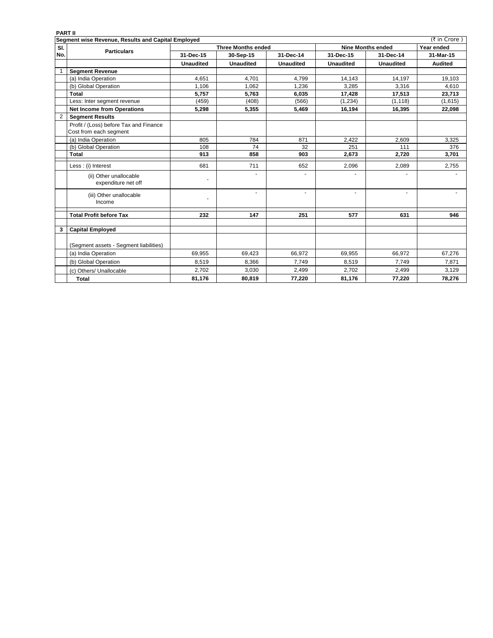| <b>PART II</b> |                                                                  |                           |                  |                      |                          |                  |                |  |  |
|----------------|------------------------------------------------------------------|---------------------------|------------------|----------------------|--------------------------|------------------|----------------|--|--|
|                | Segment wise Revenue, Results and Capital Employed               |                           |                  |                      |                          |                  | (₹ in Crore)   |  |  |
| SI.            | <b>Particulars</b>                                               | <b>Three Months ended</b> |                  |                      | <b>Nine Months ended</b> |                  | Year ended     |  |  |
| No.            |                                                                  | 31-Dec-15                 | 30-Sep-15        | 31-Dec-14            | 31-Dec-15                | 31-Dec-14        | 31-Mar-15      |  |  |
|                |                                                                  | <b>Unaudited</b>          | <b>Unaudited</b> | <b>Unaudited</b>     | <b>Unaudited</b>         | <b>Unaudited</b> | <b>Audited</b> |  |  |
|                | <b>Segment Revenue</b>                                           |                           |                  |                      |                          |                  |                |  |  |
|                | (a) India Operation                                              | 4,651                     | 4,701            | 4,799                | 14,143                   | 14,197           | 19,103         |  |  |
|                | (b) Global Operation                                             | 1,106                     | 1,062            | 1,236                | 3,285                    | 3,316            | 4,610          |  |  |
|                | Total                                                            | 5,757                     | 5,763            | 6,035                | 17,428                   | 17,513           | 23,713         |  |  |
|                | Less: Inter segment revenue                                      | (459)                     | (408)            | (566)                | (1,234)                  | (1, 118)         | (1,615)        |  |  |
|                | <b>Net Income from Operations</b>                                | 5,298                     | 5,355            | 5,469                | 16,194                   | 16,395           | 22,098         |  |  |
| $\overline{2}$ | <b>Segment Results</b>                                           |                           |                  |                      |                          |                  |                |  |  |
|                | Profit / (Loss) before Tax and Finance<br>Cost from each segment |                           |                  |                      |                          |                  |                |  |  |
|                | (a) India Operation                                              | 805                       | 784              | 871                  | 2,422                    | 2.609            | 3,325          |  |  |
|                | (b) Global Operation                                             | 108                       | 74               | 32                   | 251                      | 111              | 376            |  |  |
|                | <b>Total</b>                                                     | 913                       | 858              | 903                  | 2,673                    | 2,720            | 3,701          |  |  |
|                | Less : (i) Interest                                              | 681                       | 711              | 652                  | 2,096                    | 2,089            | 2,755          |  |  |
|                | (ii) Other unallocable<br>expenditure net off                    |                           |                  | $\ddot{\phantom{1}}$ |                          |                  |                |  |  |
|                | (iii) Other unallocable<br>Income                                |                           | ä,               | $\blacksquare$       | $\blacksquare$           | $\blacksquare$   |                |  |  |
|                | <b>Total Profit before Tax</b>                                   | 232                       | 147              | 251                  | 577                      | 631              | 946            |  |  |
| 3              | <b>Capital Employed</b>                                          |                           |                  |                      |                          |                  |                |  |  |
|                |                                                                  |                           |                  |                      |                          |                  |                |  |  |
|                | (Segment assets - Segment liabilities)                           |                           |                  |                      |                          |                  |                |  |  |
|                | (a) India Operation                                              | 69,955                    | 69,423           | 66,972               | 69,955                   | 66,972           | 67,276         |  |  |
|                | (b) Global Operation                                             | 8,519                     | 8,366            | 7,749                | 8,519                    | 7,749            | 7,871          |  |  |
|                | (c) Others/ Unallocable                                          | 2,702                     | 3,030            | 2,499                | 2,702                    | 2,499            | 3,129          |  |  |
|                | <b>Total</b>                                                     | 81,176                    | 80,819           | 77,220               | 81,176                   | 77,220           | 78,276         |  |  |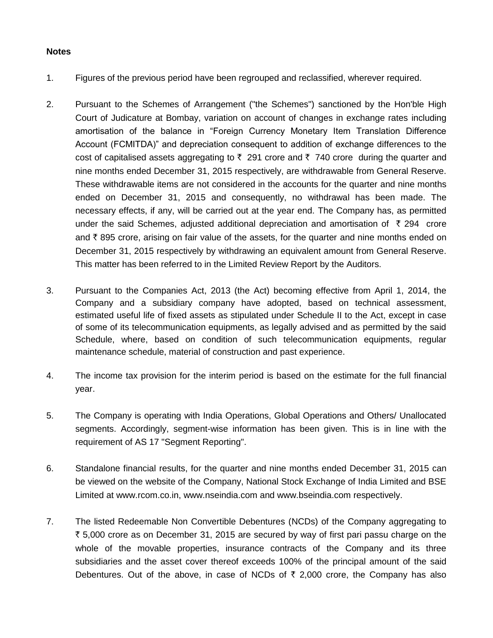## **Notes**

- 1. Figures of the previous period have been regrouped and reclassified, wherever required.
- 2. Pursuant to the Schemes of Arrangement ("the Schemes") sanctioned by the Hon'ble High Court of Judicature at Bombay, variation on account of changes in exchange rates including amortisation of the balance in "Foreign Currency Monetary Item Translation Difference Account (FCMITDA)" and depreciation consequent to addition of exchange differences to the cost of capitalised assets aggregating to  $\bar{\zeta}$  291 crore and  $\bar{\zeta}$  740 crore during the quarter and nine months ended December 31, 2015 respectively, are withdrawable from General Reserve. These withdrawable items are not considered in the accounts for the quarter and nine months ended on December 31, 2015 and consequently, no withdrawal has been made. The necessary effects, if any, will be carried out at the year end. The Company has, as permitted under the said Schemes, adjusted additional depreciation and amortisation of  $\bar{\tau}$  294 crore and  $\bar{\tau}$  895 crore, arising on fair value of the assets, for the quarter and nine months ended on December 31, 2015 respectively by withdrawing an equivalent amount from General Reserve. This matter has been referred to in the Limited Review Report by the Auditors.
- 3. Pursuant to the Companies Act, 2013 (the Act) becoming effective from April 1, 2014, the Company and a subsidiary company have adopted, based on technical assessment, estimated useful life of fixed assets as stipulated under Schedule II to the Act, except in case of some of its telecommunication equipments, as legally advised and as permitted by the said Schedule, where, based on condition of such telecommunication equipments, regular maintenance schedule, material of construction and past experience.
- 4. The income tax provision for the interim period is based on the estimate for the full financial year.
- 5. The Company is operating with India Operations, Global Operations and Others/ Unallocated segments. Accordingly, segment-wise information has been given. This is in line with the requirement of AS 17 "Segment Reporting".
- 6. Standalone financial results, for the quarter and nine months ended December 31, 2015 can be viewed on the website of the Company, National Stock Exchange of India Limited and BSE Limited at www.rcom.co.in, www.nseindia.com and www.bseindia.com respectively.
- 7. The listed Redeemable Non Convertible Debentures (NCDs) of the Company aggregating to ` 5,000 crore as on December 31, 2015 are secured by way of first pari passu charge on the whole of the movable properties, insurance contracts of the Company and its three subsidiaries and the asset cover thereof exceeds 100% of the principal amount of the said Debentures. Out of the above, in case of NCDs of  $\bar{\tau}$  2,000 crore, the Company has also